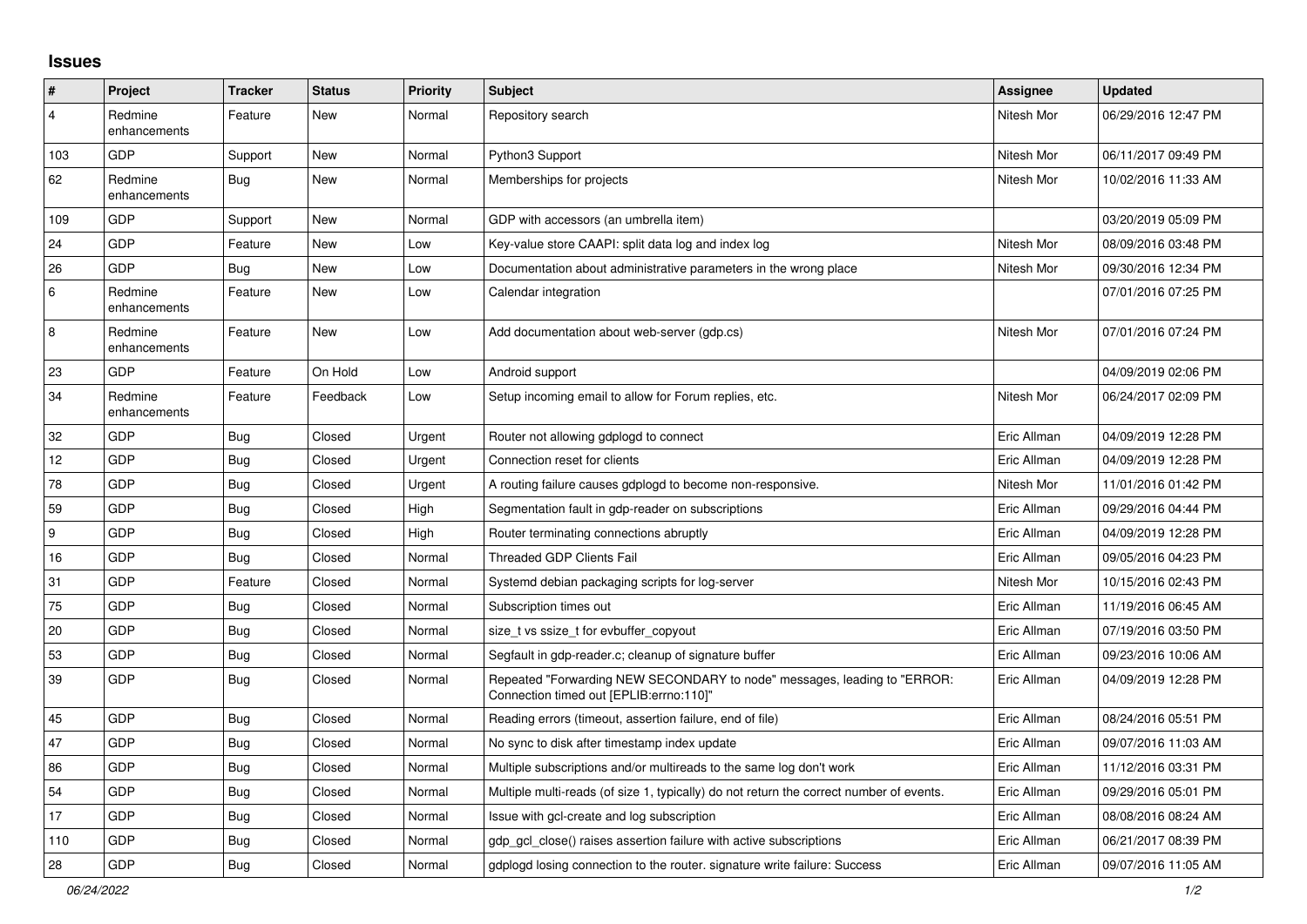## **Issues**

| $\vert$ #      | Project                 | <b>Tracker</b> | <b>Status</b> | <b>Priority</b> | <b>Subject</b>                                                                                                      | <b>Assignee</b> | <b>Updated</b>      |
|----------------|-------------------------|----------------|---------------|-----------------|---------------------------------------------------------------------------------------------------------------------|-----------------|---------------------|
| $\overline{4}$ | Redmine<br>enhancements | Feature        | New           | Normal          | Repository search                                                                                                   | Nitesh Mor      | 06/29/2016 12:47 PM |
| 103            | <b>GDP</b>              | Support        | New           | Normal          | Python3 Support                                                                                                     | Nitesh Mor      | 06/11/2017 09:49 PM |
| 62             | Redmine<br>enhancements | Bug            | New           | Normal          | Memberships for projects                                                                                            | Nitesh Mor      | 10/02/2016 11:33 AM |
| 109            | <b>GDP</b>              | Support        | New           | Normal          | GDP with accessors (an umbrella item)                                                                               |                 | 03/20/2019 05:09 PM |
| 24             | GDP                     | Feature        | New           | Low             | Key-value store CAAPI: split data log and index log                                                                 | Nitesh Mor      | 08/09/2016 03:48 PM |
| 26             | <b>GDP</b>              | Bug            | <b>New</b>    | Low             | Documentation about administrative parameters in the wrong place                                                    | Nitesh Mor      | 09/30/2016 12:34 PM |
| 6              | Redmine<br>enhancements | Feature        | New           | Low             | Calendar integration                                                                                                |                 | 07/01/2016 07:25 PM |
| $\bf 8$        | Redmine<br>enhancements | Feature        | <b>New</b>    | Low             | Add documentation about web-server (gdp.cs)                                                                         | Nitesh Mor      | 07/01/2016 07:24 PM |
| 23             | GDP                     | Feature        | On Hold       | Low             | Android support                                                                                                     |                 | 04/09/2019 02:06 PM |
| 34             | Redmine<br>enhancements | Feature        | Feedback      | Low             | Setup incoming email to allow for Forum replies, etc.                                                               | Nitesh Mor      | 06/24/2017 02:09 PM |
| 32             | GDP                     | <b>Bug</b>     | Closed        | Urgent          | Router not allowing gdplogd to connect                                                                              | Eric Allman     | 04/09/2019 12:28 PM |
| 12             | GDP                     | <b>Bug</b>     | Closed        | Urgent          | Connection reset for clients                                                                                        | Eric Allman     | 04/09/2019 12:28 PM |
| 78             | GDP                     | Bug            | Closed        | Urgent          | A routing failure causes gdplogd to become non-responsive.                                                          | Nitesh Mor      | 11/01/2016 01:42 PM |
| 59             | <b>GDP</b>              | Bug            | Closed        | High            | Segmentation fault in gdp-reader on subscriptions                                                                   | Eric Allman     | 09/29/2016 04:44 PM |
| 9              | GDP                     | <b>Bug</b>     | Closed        | High            | Router terminating connections abruptly                                                                             | Eric Allman     | 04/09/2019 12:28 PM |
| 16             | GDP                     | <b>Bug</b>     | Closed        | Normal          | <b>Threaded GDP Clients Fail</b>                                                                                    | Eric Allman     | 09/05/2016 04:23 PM |
| 31             | <b>GDP</b>              | Feature        | Closed        | Normal          | Systemd debian packaging scripts for log-server                                                                     | Nitesh Mor      | 10/15/2016 02:43 PM |
| 75             | GDP                     | <b>Bug</b>     | Closed        | Normal          | Subscription times out                                                                                              | Eric Allman     | 11/19/2016 06:45 AM |
| 20             | GDP                     | <b>Bug</b>     | Closed        | Normal          | size_t vs ssize_t for evbuffer_copyout                                                                              | Eric Allman     | 07/19/2016 03:50 PM |
| 53             | GDP                     | Bug            | Closed        | Normal          | Segfault in gdp-reader.c; cleanup of signature buffer                                                               | Eric Allman     | 09/23/2016 10:06 AM |
| 39             | GDP                     | Bug            | Closed        | Normal          | Repeated "Forwarding NEW SECONDARY to node" messages, leading to "ERROR:<br>Connection timed out [EPLIB:errno:110]" | Eric Allman     | 04/09/2019 12:28 PM |
| 45             | GDP                     | <b>Bug</b>     | Closed        | Normal          | Reading errors (timeout, assertion failure, end of file)                                                            | Eric Allman     | 08/24/2016 05:51 PM |
| 47             | GDP                     | <b>Bug</b>     | Closed        | Normal          | No sync to disk after timestamp index update                                                                        | Eric Allman     | 09/07/2016 11:03 AM |
| 86             | GDP                     | Bug            | Closed        | Normal          | Multiple subscriptions and/or multireads to the same log don't work                                                 | Eric Allman     | 11/12/2016 03:31 PM |
| 54             | GDP                     | <b>Bug</b>     | Closed        | Normal          | Multiple multi-reads (of size 1, typically) do not return the correct number of events.                             | Eric Allman     | 09/29/2016 05:01 PM |
| 17             | <b>GDP</b>              | Bug            | Closed        | Normal          | Issue with gcl-create and log subscription                                                                          | Eric Allman     | 08/08/2016 08:24 AM |
| 110            | GDP                     | <b>Bug</b>     | Closed        | Normal          | gdp gcl close() raises assertion failure with active subscriptions                                                  | Eric Allman     | 06/21/2017 08:39 PM |
| 28             | <b>GDP</b>              | <b>Bug</b>     | Closed        | Normal          | adpload losing connection to the router, signature write failure: Success                                           | Eric Allman     | 09/07/2016 11:05 AM |